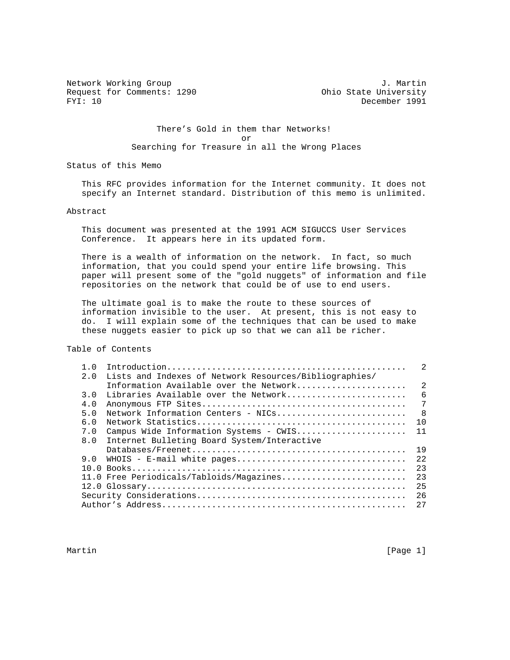Network Working Group 30 and 1. Martin 30 and 1. Martin 30 and 1. Martin 30 and 1. Martin 30 and 1. Martin 30 Request for Comments: 1290 Ohio State University<br>FYI: 10 December 1991

December 1991

# There's Gold in them thar Networks! or Searching for Treasure in all the Wrong Places

Status of this Memo

 This RFC provides information for the Internet community. It does not specify an Internet standard. Distribution of this memo is unlimited.

# Abstract

 This document was presented at the 1991 ACM SIGUCCS User Services Conference. It appears here in its updated form.

 There is a wealth of information on the network. In fact, so much information, that you could spend your entire life browsing. This paper will present some of the "gold nuggets" of information and file repositories on the network that could be of use to end users.

 The ultimate goal is to make the route to these sources of information invisible to the user. At present, this is not easy to do. I will explain some of the techniques that can be used to make these nuggets easier to pick up so that we can all be richer.

Table of Contents

| 1.0 |                                                        | $\mathfrak{D}$ |
|-----|--------------------------------------------------------|----------------|
| 2.0 | Lists and Indexes of Network Resources/Bibliographies/ |                |
|     | Information Available over the Network                 | $\mathfrak{D}$ |
| 3.0 | Libraries Available over the Network                   | 6              |
| 4.0 |                                                        | 7              |
| 5.0 |                                                        | - 8            |
| 6.0 |                                                        | 1 O            |
| 7.0 | Campus Wide Information Systems - CWIS                 | 11             |
| 8.0 | Internet Bulleting Board System/Interactive            |                |
|     |                                                        | 19             |
| 9.0 | WHOIS - E-mail white pages                             | 2.2.           |
|     |                                                        | 23             |
|     | 11.0 Free Periodicals/Tabloids/Magazines               | 2.3            |
|     |                                                        | 25             |
|     |                                                        | 2.6            |
|     |                                                        | 27             |

Martin [Page 1] [Page 1] [Page 1] [Page 1] [Page 1] [Page 1] [Page 1] [Page 1] [Page 1] [Page 1] [Page 1] [Page 1] [Page 1] [Page 1] [Page 1] [Page 1] [Page 1] [Page 1] [Page 1] [Page 1] [Page 1] [Page 1] [Page 1] [Page 1]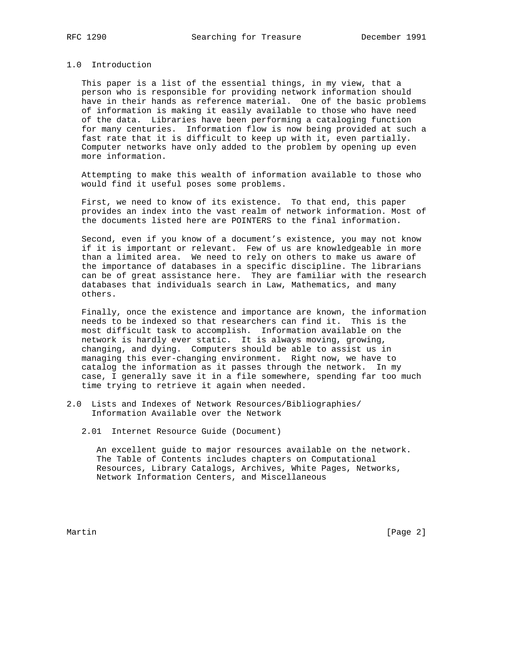# 1.0 Introduction

 This paper is a list of the essential things, in my view, that a person who is responsible for providing network information should have in their hands as reference material. One of the basic problems of information is making it easily available to those who have need of the data. Libraries have been performing a cataloging function for many centuries. Information flow is now being provided at such a fast rate that it is difficult to keep up with it, even partially. Computer networks have only added to the problem by opening up even more information.

 Attempting to make this wealth of information available to those who would find it useful poses some problems.

 First, we need to know of its existence. To that end, this paper provides an index into the vast realm of network information. Most of the documents listed here are POINTERS to the final information.

 Second, even if you know of a document's existence, you may not know if it is important or relevant. Few of us are knowledgeable in more than a limited area. We need to rely on others to make us aware of the importance of databases in a specific discipline. The librarians can be of great assistance here. They are familiar with the research databases that individuals search in Law, Mathematics, and many others.

 Finally, once the existence and importance are known, the information needs to be indexed so that researchers can find it. This is the most difficult task to accomplish. Information available on the network is hardly ever static. It is always moving, growing, changing, and dying. Computers should be able to assist us in managing this ever-changing environment. Right now, we have to catalog the information as it passes through the network. In my case, I generally save it in a file somewhere, spending far too much time trying to retrieve it again when needed.

- 2.0 Lists and Indexes of Network Resources/Bibliographies/ Information Available over the Network
	- 2.01 Internet Resource Guide (Document)

 An excellent guide to major resources available on the network. The Table of Contents includes chapters on Computational Resources, Library Catalogs, Archives, White Pages, Networks, Network Information Centers, and Miscellaneous

Martin [Page 2]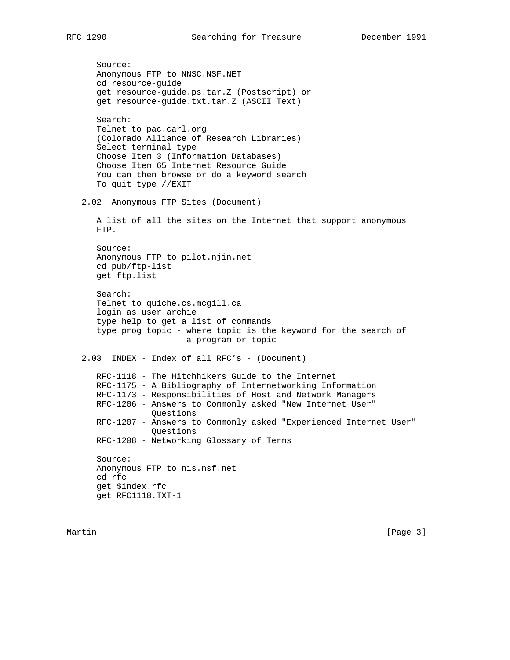Source: Anonymous FTP to NNSC.NSF.NET cd resource-guide get resource-guide.ps.tar.Z (Postscript) or get resource-guide.txt.tar.Z (ASCII Text) Search: Telnet to pac.carl.org (Colorado Alliance of Research Libraries) Select terminal type Choose Item 3 (Information Databases) Choose Item 65 Internet Resource Guide You can then browse or do a keyword search To quit type //EXIT 2.02 Anonymous FTP Sites (Document) A list of all the sites on the Internet that support anonymous FTP. Source: Anonymous FTP to pilot.njin.net cd pub/ftp-list get ftp.list Search: Telnet to quiche.cs.mcgill.ca login as user archie type help to get a list of commands type prog topic - where topic is the keyword for the search of a program or topic 2.03 INDEX - Index of all RFC's - (Document) RFC-1118 - The Hitchhikers Guide to the Internet RFC-1175 - A Bibliography of Internetworking Information RFC-1173 - Responsibilities of Host and Network Managers RFC-1206 - Answers to Commonly asked "New Internet User" Questions RFC-1207 - Answers to Commonly asked "Experienced Internet User" Questions RFC-1208 - Networking Glossary of Terms Source: Anonymous FTP to nis.nsf.net cd rfc get \$index.rfc get RFC1118.TXT-1

Martin [Page 3]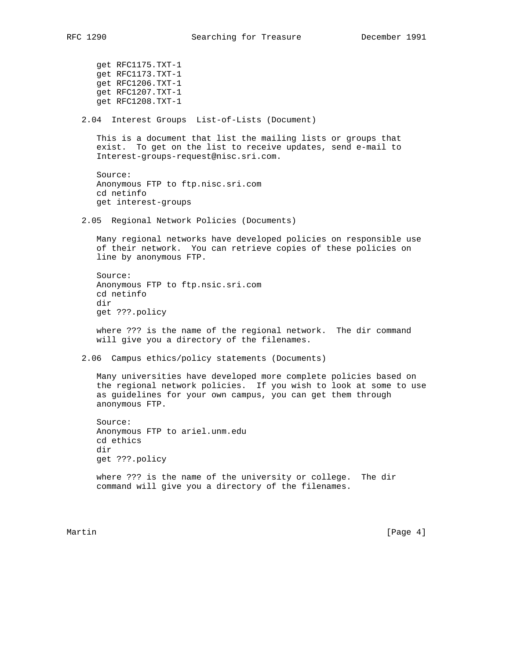get RFC1175.TXT-1 get RFC1173.TXT-1 get RFC1206.TXT-1 get RFC1207.TXT-1 get RFC1208.TXT-1

2.04 Interest Groups List-of-Lists (Document)

 This is a document that list the mailing lists or groups that exist. To get on the list to receive updates, send e-mail to Interest-groups-request@nisc.sri.com.

```
 Source:
Anonymous FTP to ftp.nisc.sri.com
cd netinfo
get interest-groups
```
2.05 Regional Network Policies (Documents)

 Many regional networks have developed policies on responsible use of their network. You can retrieve copies of these policies on line by anonymous FTP.

```
 Source:
Anonymous FTP to ftp.nsic.sri.com
cd netinfo
dir
get ???.policy
```
 where ??? is the name of the regional network. The dir command will give you a directory of the filenames.

2.06 Campus ethics/policy statements (Documents)

 Many universities have developed more complete policies based on the regional network policies. If you wish to look at some to use as guidelines for your own campus, you can get them through anonymous FTP.

```
 Source:
Anonymous FTP to ariel.unm.edu
cd ethics
dir
get ???.policy
```
 where ??? is the name of the university or college. The dir command will give you a directory of the filenames.

Martin [Page 4]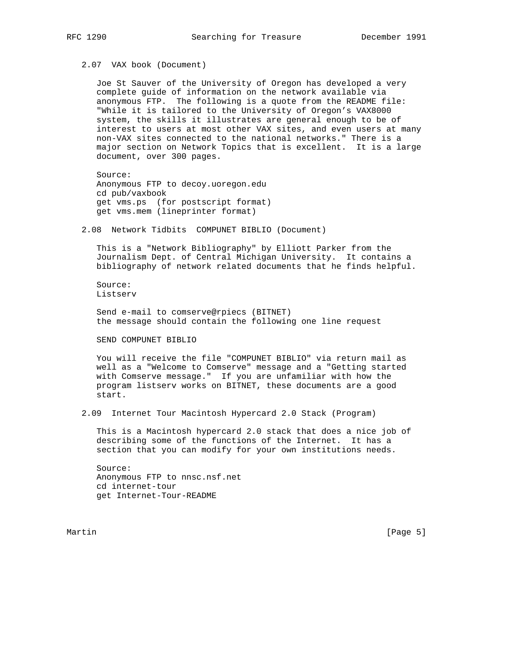2.07 VAX book (Document)

 Joe St Sauver of the University of Oregon has developed a very complete guide of information on the network available via anonymous FTP. The following is a quote from the README file: "While it is tailored to the University of Oregon's VAX8000 system, the skills it illustrates are general enough to be of interest to users at most other VAX sites, and even users at many non-VAX sites connected to the national networks." There is a major section on Network Topics that is excellent. It is a large document, over 300 pages.

 Source: Anonymous FTP to decoy.uoregon.edu cd pub/vaxbook get vms.ps (for postscript format) get vms.mem (lineprinter format)

2.08 Network Tidbits COMPUNET BIBLIO (Document)

 This is a "Network Bibliography" by Elliott Parker from the Journalism Dept. of Central Michigan University. It contains a bibliography of network related documents that he finds helpful.

 Source: Listserv

 Send e-mail to comserve@rpiecs (BITNET) the message should contain the following one line request

SEND COMPUNET BIBLIO

 You will receive the file "COMPUNET BIBLIO" via return mail as well as a "Welcome to Comserve" message and a "Getting started with Comserve message." If you are unfamiliar with how the program listserv works on BITNET, these documents are a good start.

2.09 Internet Tour Macintosh Hypercard 2.0 Stack (Program)

 This is a Macintosh hypercard 2.0 stack that does a nice job of describing some of the functions of the Internet. It has a section that you can modify for your own institutions needs.

 Source: Anonymous FTP to nnsc.nsf.net cd internet-tour get Internet-Tour-README

Martin [Page 5]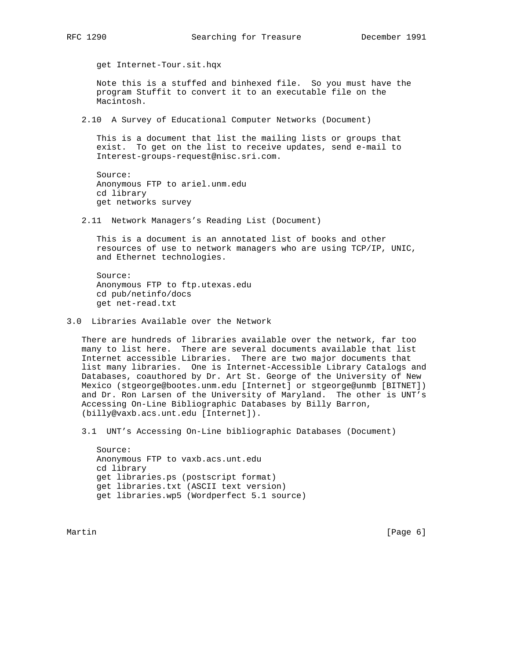get Internet-Tour.sit.hqx

 Note this is a stuffed and binhexed file. So you must have the program Stuffit to convert it to an executable file on the Macintosh.

2.10 A Survey of Educational Computer Networks (Document)

 This is a document that list the mailing lists or groups that exist. To get on the list to receive updates, send e-mail to Interest-groups-request@nisc.sri.com.

```
 Source:
Anonymous FTP to ariel.unm.edu
cd library
get networks survey
```
2.11 Network Managers's Reading List (Document)

 This is a document is an annotated list of books and other resources of use to network managers who are using TCP/IP, UNIC, and Ethernet technologies.

 Source: Anonymous FTP to ftp.utexas.edu cd pub/netinfo/docs get net-read.txt

3.0 Libraries Available over the Network

 There are hundreds of libraries available over the network, far too many to list here. There are several documents available that list Internet accessible Libraries. There are two major documents that list many libraries. One is Internet-Accessible Library Catalogs and Databases, coauthored by Dr. Art St. George of the University of New Mexico (stgeorge@bootes.unm.edu [Internet] or stgeorge@unmb [BITNET]) and Dr. Ron Larsen of the University of Maryland. The other is UNT's Accessing On-Line Bibliographic Databases by Billy Barron, (billy@vaxb.acs.unt.edu [Internet]).

3.1 UNT's Accessing On-Line bibliographic Databases (Document)

 Source: Anonymous FTP to vaxb.acs.unt.edu cd library get libraries.ps (postscript format) get libraries.txt (ASCII text version) get libraries.wp5 (Wordperfect 5.1 source)

Martin [Page 6] [Page 6] [Page 6] [Page 6] [Page 6] [Page 6] [Page 6] [Page 6] [Page 6] [Page 6] [Page 6] [Page 6] [Page 6] [Page 6] [Page 6] [Page 6] [Page 6] [Page 6] [Page 6] [Page 6] [Page 6] [Page 6] [Page 6] [Page 6]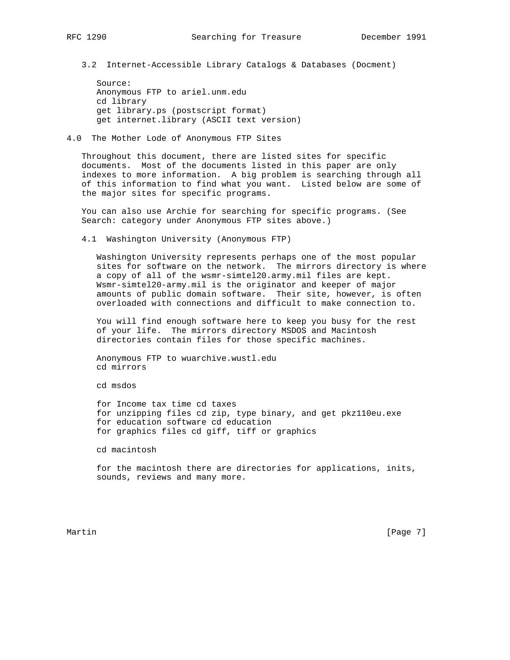3.2 Internet-Accessible Library Catalogs & Databases (Docment)

 Source: Anonymous FTP to ariel.unm.edu cd library get library.ps (postscript format) get internet.library (ASCII text version)

## 4.0 The Mother Lode of Anonymous FTP Sites

 Throughout this document, there are listed sites for specific documents. Most of the documents listed in this paper are only indexes to more information. A big problem is searching through all of this information to find what you want. Listed below are some of the major sites for specific programs.

 You can also use Archie for searching for specific programs. (See Search: category under Anonymous FTP sites above.)

4.1 Washington University (Anonymous FTP)

 Washington University represents perhaps one of the most popular sites for software on the network. The mirrors directory is where a copy of all of the wsmr-simtel20.army.mil files are kept. Wsmr-simtel20-army.mil is the originator and keeper of major amounts of public domain software. Their site, however, is often overloaded with connections and difficult to make connection to.

 You will find enough software here to keep you busy for the rest of your life. The mirrors directory MSDOS and Macintosh directories contain files for those specific machines.

 Anonymous FTP to wuarchive.wustl.edu cd mirrors

cd msdos

 for Income tax time cd taxes for unzipping files cd zip, type binary, and get pkz110eu.exe for education software cd education for graphics files cd giff, tiff or graphics

cd macintosh

 for the macintosh there are directories for applications, inits, sounds, reviews and many more.

Martin [Page 7] [Page 7] [Page 7] [Page 7] [Page 7] [Page 7] [Page 7] [Page 7] [Page 7] [Page 7] [Page 7] [Page 7] [Page 7] [Page 7] [Page 7] [Page 7] [Page 7] [Page 7] [Page 7] [Page 7] [Page 7] [Page 7] [Page 7] [Page 7]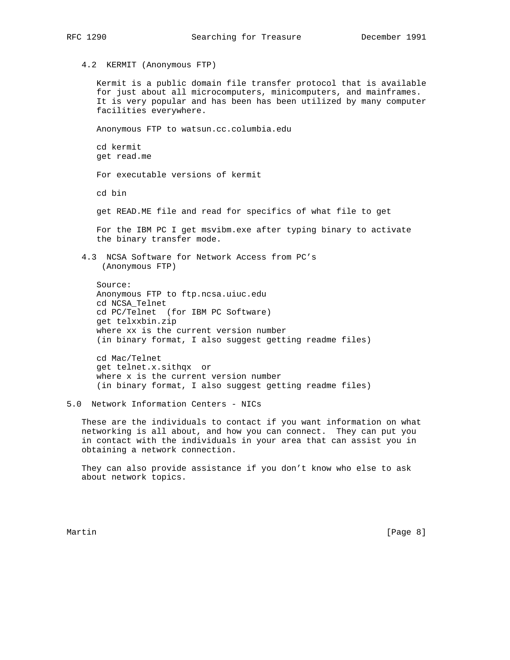4.2 KERMIT (Anonymous FTP)

 Kermit is a public domain file transfer protocol that is available for just about all microcomputers, minicomputers, and mainframes. It is very popular and has been has been utilized by many computer facilities everywhere.

Anonymous FTP to watsun.cc.columbia.edu

 cd kermit get read.me

For executable versions of kermit

cd bin

get READ.ME file and read for specifics of what file to get

 For the IBM PC I get msvibm.exe after typing binary to activate the binary transfer mode.

 4.3 NCSA Software for Network Access from PC's (Anonymous FTP)

 Source: Anonymous FTP to ftp.ncsa.uiuc.edu cd NCSA\_Telnet cd PC/Telnet (for IBM PC Software) get telxxbin.zip where xx is the current version number (in binary format, I also suggest getting readme files)

 cd Mac/Telnet get telnet.x.sithqx or where x is the current version number (in binary format, I also suggest getting readme files)

 These are the individuals to contact if you want information on what networking is all about, and how you can connect. They can put you in contact with the individuals in your area that can assist you in obtaining a network connection.

 They can also provide assistance if you don't know who else to ask about network topics.

Martin [Page 8]

<sup>5.0</sup> Network Information Centers - NICs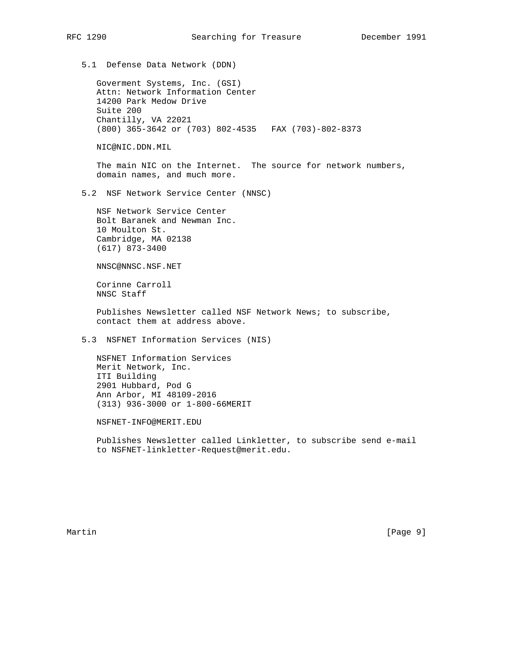5.1 Defense Data Network (DDN)

 Goverment Systems, Inc. (GSI) Attn: Network Information Center 14200 Park Medow Drive Suite 200 Chantilly, VA 22021 (800) 365-3642 or (703) 802-4535 FAX (703)-802-8373

NIC@NIC.DDN.MIL

The main NIC on the Internet. The source for network numbers, domain names, and much more.

5.2 NSF Network Service Center (NNSC)

 NSF Network Service Center Bolt Baranek and Newman Inc. 10 Moulton St. Cambridge, MA 02138 (617) 873-3400

NNSC@NNSC.NSF.NET

 Corinne Carroll NNSC Staff

 Publishes Newsletter called NSF Network News; to subscribe, contact them at address above.

5.3 NSFNET Information Services (NIS)

 NSFNET Information Services Merit Network, Inc. ITI Building 2901 Hubbard, Pod G Ann Arbor, MI 48109-2016 (313) 936-3000 or 1-800-66MERIT

NSFNET-INFO@MERIT.EDU

 Publishes Newsletter called Linkletter, to subscribe send e-mail to NSFNET-linkletter-Request@merit.edu.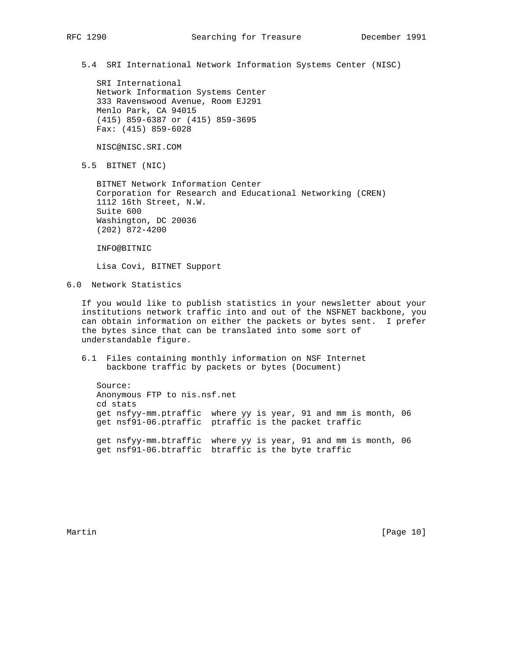5.4 SRI International Network Information Systems Center (NISC)

 SRI International Network Information Systems Center 333 Ravenswood Avenue, Room EJ291 Menlo Park, CA 94015 (415) 859-6387 or (415) 859-3695 Fax: (415) 859-6028

NISC@NISC.SRI.COM

5.5 BITNET (NIC)

 BITNET Network Information Center Corporation for Research and Educational Networking (CREN) 1112 16th Street, N.W. Suite 600 Washington, DC 20036 (202) 872-4200

INFO@BITNIC

Lisa Covi, BITNET Support

6.0 Network Statistics

 If you would like to publish statistics in your newsletter about your institutions network traffic into and out of the NSFNET backbone, you can obtain information on either the packets or bytes sent. I prefer the bytes since that can be translated into some sort of understandable figure.

 6.1 Files containing monthly information on NSF Internet backbone traffic by packets or bytes (Document)

 Source: Anonymous FTP to nis.nsf.net cd stats get nsfyy-mm.ptraffic where yy is year, 91 and mm is month, 06 get nsf91-06.ptraffic ptraffic is the packet traffic get nsfyy-mm.btraffic where yy is year, 91 and mm is month, 06 get nsf91-06.btraffic btraffic is the byte traffic

Martin [Page 10]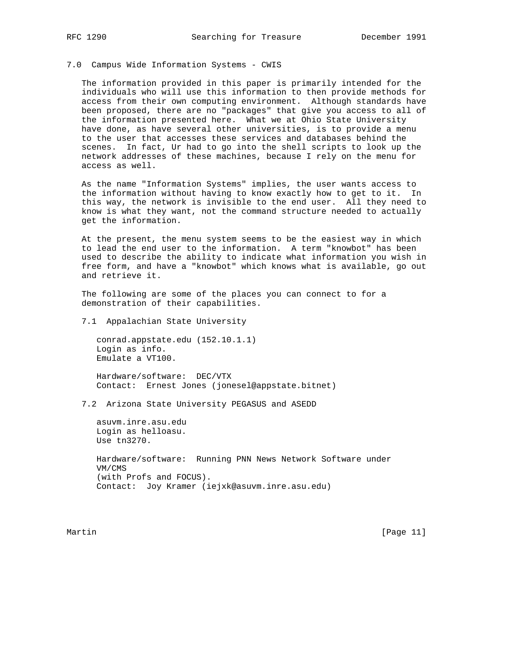#### 7.0 Campus Wide Information Systems - CWIS

 The information provided in this paper is primarily intended for the individuals who will use this information to then provide methods for access from their own computing environment. Although standards have been proposed, there are no "packages" that give you access to all of the information presented here. What we at Ohio State University have done, as have several other universities, is to provide a menu to the user that accesses these services and databases behind the scenes. In fact, Ur had to go into the shell scripts to look up the network addresses of these machines, because I rely on the menu for access as well.

 As the name "Information Systems" implies, the user wants access to the information without having to know exactly how to get to it. In this way, the network is invisible to the end user. All they need to know is what they want, not the command structure needed to actually get the information.

 At the present, the menu system seems to be the easiest way in which to lead the end user to the information. A term "knowbot" has been used to describe the ability to indicate what information you wish in free form, and have a "knowbot" which knows what is available, go out and retrieve it.

 The following are some of the places you can connect to for a demonstration of their capabilities.

7.1 Appalachian State University

 conrad.appstate.edu (152.10.1.1) Login as info. Emulate a VT100.

 Hardware/software: DEC/VTX Contact: Ernest Jones (jonesel@appstate.bitnet)

7.2 Arizona State University PEGASUS and ASEDD

 asuvm.inre.asu.edu Login as helloasu. Use tn3270.

 Hardware/software: Running PNN News Network Software under VM/CMS (with Profs and FOCUS). Contact: Joy Kramer (iejxk@asuvm.inre.asu.edu)

Martin [Page 11]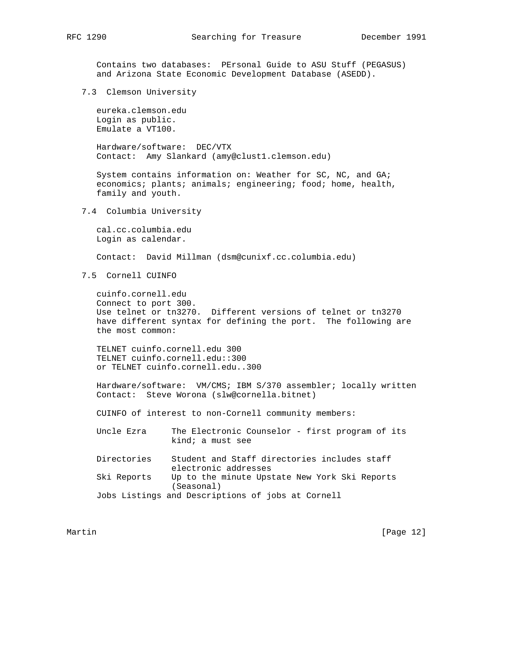Contains two databases: PErsonal Guide to ASU Stuff (PEGASUS) and Arizona State Economic Development Database (ASEDD).

7.3 Clemson University

 eureka.clemson.edu Login as public. Emulate a VT100.

 Hardware/software: DEC/VTX Contact: Amy Slankard (amy@clust1.clemson.edu)

 System contains information on: Weather for SC, NC, and GA; economics; plants; animals; engineering; food; home, health, family and youth.

7.4 Columbia University

 cal.cc.columbia.edu Login as calendar.

Contact: David Millman (dsm@cunixf.cc.columbia.edu)

7.5 Cornell CUINFO

 cuinfo.cornell.edu Connect to port 300. Use telnet or tn3270. Different versions of telnet or tn3270 have different syntax for defining the port. The following are the most common:

 TELNET cuinfo.cornell.edu 300 TELNET cuinfo.cornell.edu::300 or TELNET cuinfo.cornell.edu..300

 Hardware/software: VM/CMS; IBM S/370 assembler; locally written Contact: Steve Worona (slw@cornella.bitnet)

CUINFO of interest to non-Cornell community members:

 Uncle Ezra The Electronic Counselor - first program of its kind; a must see

 Directories Student and Staff directories includes staff electronic addresses Ski Reports Up to the minute Upstate New York Ski Reports (Seasonal) Jobs Listings and Descriptions of jobs at Cornell

Martin [Page 12]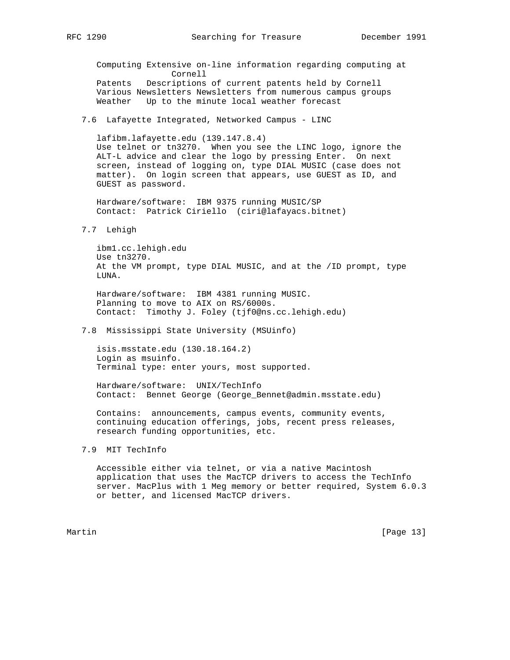Computing Extensive on-line information regarding computing at Cornell Patents Descriptions of current patents held by Cornell Various Newsletters Newsletters from numerous campus groups Weather Up to the minute local weather forecast

7.6 Lafayette Integrated, Networked Campus - LINC

```
 lafibm.lafayette.edu (139.147.8.4)
Use telnet or tn3270. When you see the LINC logo, ignore the
ALT-L advice and clear the logo by pressing Enter. On next
screen, instead of logging on, type DIAL MUSIC (case does not
matter). On login screen that appears, use GUEST as ID, and
GUEST as password.
```
 Hardware/software: IBM 9375 running MUSIC/SP Contact: Patrick Ciriello (ciri@lafayacs.bitnet)

7.7 Lehigh

 ibm1.cc.lehigh.edu Use tn3270. At the VM prompt, type DIAL MUSIC, and at the /ID prompt, type LUNA.

 Hardware/software: IBM 4381 running MUSIC. Planning to move to AIX on RS/6000s. Contact: Timothy J. Foley (tjf0@ns.cc.lehigh.edu)

7.8 Mississippi State University (MSUinfo)

 isis.msstate.edu (130.18.164.2) Login as msuinfo. Terminal type: enter yours, most supported.

 Hardware/software: UNIX/TechInfo Contact: Bennet George (George\_Bennet@admin.msstate.edu)

 Contains: announcements, campus events, community events, continuing education offerings, jobs, recent press releases, research funding opportunities, etc.

7.9 MIT TechInfo

 Accessible either via telnet, or via a native Macintosh application that uses the MacTCP drivers to access the TechInfo server. MacPlus with 1 Meg memory or better required, System 6.0.3 or better, and licensed MacTCP drivers.

Martin [Page 13]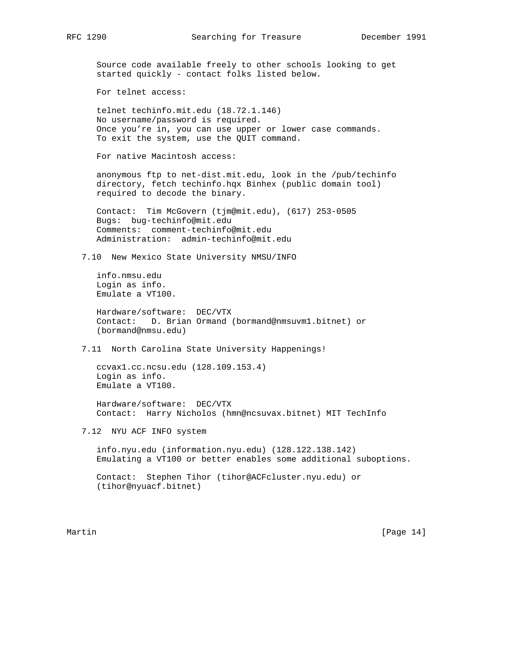Source code available freely to other schools looking to get started quickly - contact folks listed below.

For telnet access:

 telnet techinfo.mit.edu (18.72.1.146) No username/password is required. Once you're in, you can use upper or lower case commands. To exit the system, use the QUIT command.

For native Macintosh access:

 anonymous ftp to net-dist.mit.edu, look in the /pub/techinfo directory, fetch techinfo.hqx Binhex (public domain tool) required to decode the binary.

 Contact: Tim McGovern (tjm@mit.edu), (617) 253-0505 Bugs: bug-techinfo@mit.edu Comments: comment-techinfo@mit.edu Administration: admin-techinfo@mit.edu

7.10 New Mexico State University NMSU/INFO

 info.nmsu.edu Login as info. Emulate a VT100.

 Hardware/software: DEC/VTX Contact: D. Brian Ormand (bormand@nmsuvm1.bitnet) or (bormand@nmsu.edu)

7.11 North Carolina State University Happenings!

 ccvax1.cc.ncsu.edu (128.109.153.4) Login as info. Emulate a VT100.

 Hardware/software: DEC/VTX Contact: Harry Nicholos (hmn@ncsuvax.bitnet) MIT TechInfo

7.12 NYU ACF INFO system

 info.nyu.edu (information.nyu.edu) (128.122.138.142) Emulating a VT100 or better enables some additional suboptions.

 Contact: Stephen Tihor (tihor@ACFcluster.nyu.edu) or (tihor@nyuacf.bitnet)

Martin [Page 14]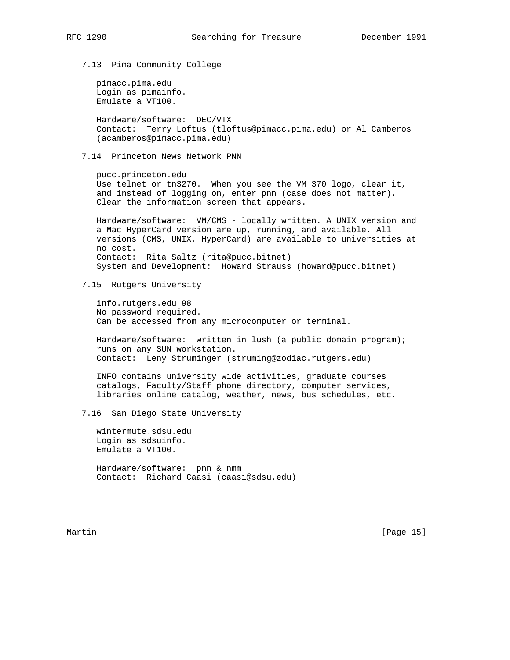7.13 Pima Community College

 pimacc.pima.edu Login as pimainfo. Emulate a VT100.

 Hardware/software: DEC/VTX Contact: Terry Loftus (tloftus@pimacc.pima.edu) or Al Camberos (acamberos@pimacc.pima.edu)

7.14 Princeton News Network PNN

 pucc.princeton.edu Use telnet or tn3270. When you see the VM 370 logo, clear it, and instead of logging on, enter pnn (case does not matter). Clear the information screen that appears.

 Hardware/software: VM/CMS - locally written. A UNIX version and a Mac HyperCard version are up, running, and available. All versions (CMS, UNIX, HyperCard) are available to universities at no cost. Contact: Rita Saltz (rita@pucc.bitnet) System and Development: Howard Strauss (howard@pucc.bitnet)

7.15 Rutgers University

 info.rutgers.edu 98 No password required. Can be accessed from any microcomputer or terminal.

Hardware/software: written in lush (a public domain program); runs on any SUN workstation. Contact: Leny Struminger (struming@zodiac.rutgers.edu)

 INFO contains university wide activities, graduate courses catalogs, Faculty/Staff phone directory, computer services, libraries online catalog, weather, news, bus schedules, etc.

7.16 San Diego State University

 wintermute.sdsu.edu Login as sdsuinfo. Emulate a VT100.

 Hardware/software: pnn & nmm Contact: Richard Caasi (caasi@sdsu.edu)

Martin [Page 15]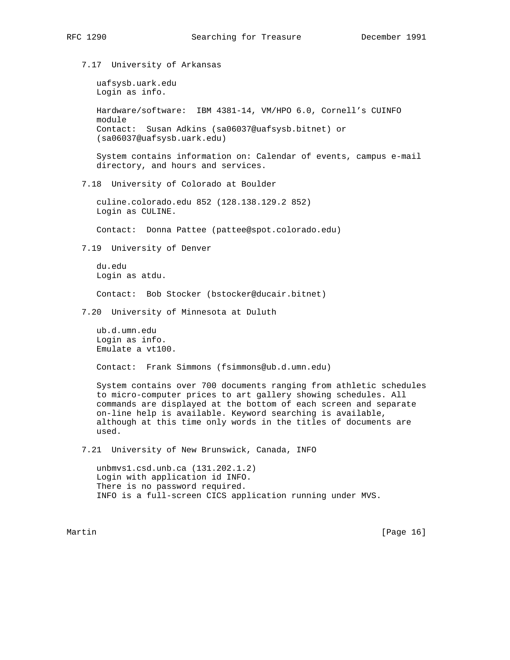7.17 University of Arkansas

 uafsysb.uark.edu Login as info. Hardware/software: IBM 4381-14, VM/HPO 6.0, Cornell's CUINFO module Contact: Susan Adkins (sa06037@uafsysb.bitnet) or (sa06037@uafsysb.uark.edu) System contains information on: Calendar of events, campus e-mail

7.18 University of Colorado at Boulder

directory, and hours and services.

 culine.colorado.edu 852 (128.138.129.2 852) Login as CULINE.

Contact: Donna Pattee (pattee@spot.colorado.edu)

7.19 University of Denver

 du.edu Login as atdu.

Contact: Bob Stocker (bstocker@ducair.bitnet)

7.20 University of Minnesota at Duluth

 ub.d.umn.edu Login as info. Emulate a vt100.

Contact: Frank Simmons (fsimmons@ub.d.umn.edu)

 System contains over 700 documents ranging from athletic schedules to micro-computer prices to art gallery showing schedules. All commands are displayed at the bottom of each screen and separate on-line help is available. Keyword searching is available, although at this time only words in the titles of documents are used.

7.21 University of New Brunswick, Canada, INFO

 unbmvs1.csd.unb.ca (131.202.1.2) Login with application id INFO. There is no password required. INFO is a full-screen CICS application running under MVS.

Martin [Page 16]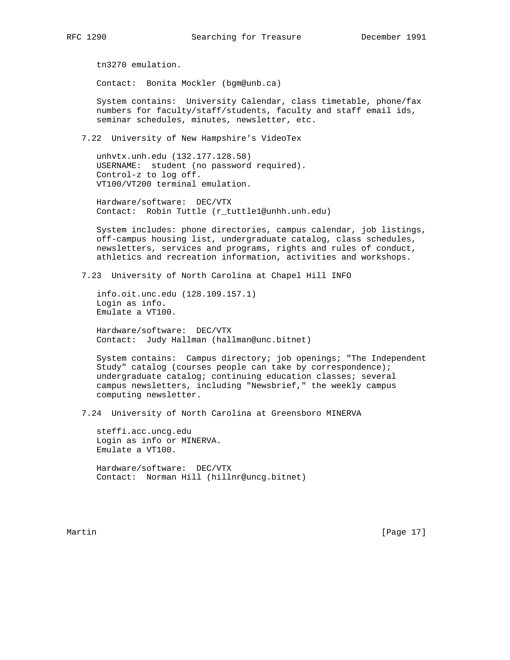tn3270 emulation.

Contact: Bonita Mockler (bgm@unb.ca)

 System contains: University Calendar, class timetable, phone/fax numbers for faculty/staff/students, faculty and staff email ids, seminar schedules, minutes, newsletter, etc.

7.22 University of New Hampshire's VideoTex

 unhvtx.unh.edu (132.177.128.58) USERNAME: student (no password required). Control-z to log off. VT100/VT200 terminal emulation.

 Hardware/software: DEC/VTX Contact: Robin Tuttle (r\_tuttle1@unhh.unh.edu)

 System includes: phone directories, campus calendar, job listings, off-campus housing list, undergraduate catalog, class schedules, newsletters, services and programs, rights and rules of conduct, athletics and recreation information, activities and workshops.

7.23 University of North Carolina at Chapel Hill INFO

 info.oit.unc.edu (128.109.157.1) Login as info. Emulate a VT100.

 Hardware/software: DEC/VTX Contact: Judy Hallman (hallman@unc.bitnet)

 System contains: Campus directory; job openings; "The Independent Study" catalog (courses people can take by correspondence); undergraduate catalog; continuing education classes; several campus newsletters, including "Newsbrief," the weekly campus computing newsletter.

7.24 University of North Carolina at Greensboro MINERVA

 steffi.acc.uncg.edu Login as info or MINERVA. Emulate a VT100.

 Hardware/software: DEC/VTX Contact: Norman Hill (hillnr@uncg.bitnet)

Martin [Page 17]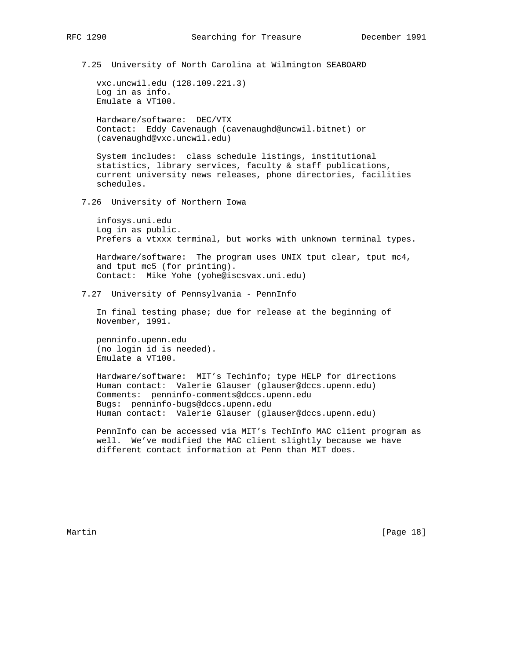7.25 University of North Carolina at Wilmington SEABOARD

 vxc.uncwil.edu (128.109.221.3) Log in as info. Emulate a VT100.

 Hardware/software: DEC/VTX Contact: Eddy Cavenaugh (cavenaughd@uncwil.bitnet) or (cavenaughd@vxc.uncwil.edu)

 System includes: class schedule listings, institutional statistics, library services, faculty & staff publications, current university news releases, phone directories, facilities schedules.

7.26 University of Northern Iowa

 infosys.uni.edu Log in as public. Prefers a vtxxx terminal, but works with unknown terminal types.

 Hardware/software: The program uses UNIX tput clear, tput mc4, and tput mc5 (for printing). Contact: Mike Yohe (yohe@iscsvax.uni.edu)

7.27 University of Pennsylvania - PennInfo

 In final testing phase; due for release at the beginning of November, 1991.

 penninfo.upenn.edu (no login id is needed). Emulate a VT100.

 Hardware/software: MIT's Techinfo; type HELP for directions Human contact: Valerie Glauser (glauser@dccs.upenn.edu) Comments: penninfo-comments@dccs.upenn.edu Bugs: penninfo-bugs@dccs.upenn.edu Human contact: Valerie Glauser (glauser@dccs.upenn.edu)

 PennInfo can be accessed via MIT's TechInfo MAC client program as well. We've modified the MAC client slightly because we have different contact information at Penn than MIT does.

Martin [Page 18]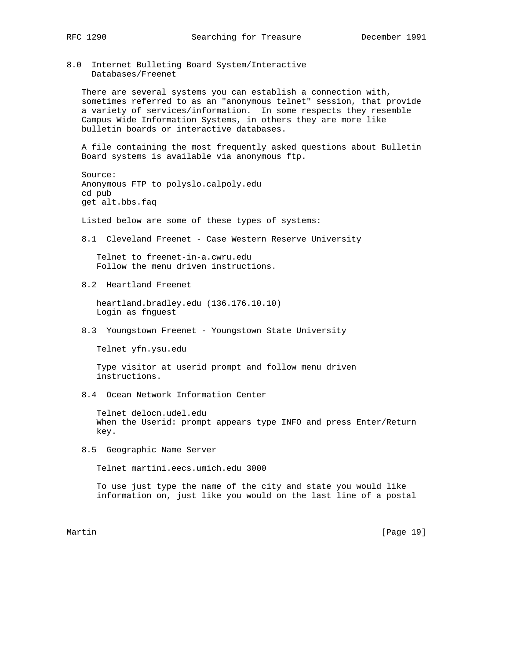8.0 Internet Bulleting Board System/Interactive Databases/Freenet

 There are several systems you can establish a connection with, sometimes referred to as an "anonymous telnet" session, that provide a variety of services/information. In some respects they resemble Campus Wide Information Systems, in others they are more like bulletin boards or interactive databases.

 A file containing the most frequently asked questions about Bulletin Board systems is available via anonymous ftp.

 Source: Anonymous FTP to polyslo.calpoly.edu cd pub get alt.bbs.faq

Listed below are some of these types of systems:

8.1 Cleveland Freenet - Case Western Reserve University

 Telnet to freenet-in-a.cwru.edu Follow the menu driven instructions.

8.2 Heartland Freenet

 heartland.bradley.edu (136.176.10.10) Login as fnguest

8.3 Youngstown Freenet - Youngstown State University

Telnet yfn.ysu.edu

 Type visitor at userid prompt and follow menu driven instructions.

8.4 Ocean Network Information Center

 Telnet delocn.udel.edu When the Userid: prompt appears type INFO and press Enter/Return key.

8.5 Geographic Name Server

Telnet martini.eecs.umich.edu 3000

 To use just type the name of the city and state you would like information on, just like you would on the last line of a postal

Martin [Page 19]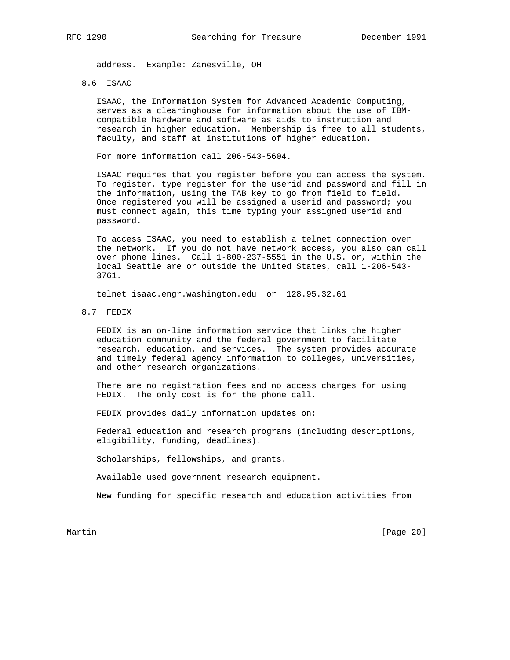address. Example: Zanesville, OH

# 8.6 ISAAC

 ISAAC, the Information System for Advanced Academic Computing, serves as a clearinghouse for information about the use of IBM compatible hardware and software as aids to instruction and research in higher education. Membership is free to all students, faculty, and staff at institutions of higher education.

For more information call 206-543-5604.

 ISAAC requires that you register before you can access the system. To register, type register for the userid and password and fill in the information, using the TAB key to go from field to field. Once registered you will be assigned a userid and password; you must connect again, this time typing your assigned userid and password.

 To access ISAAC, you need to establish a telnet connection over the network. If you do not have network access, you also can call over phone lines. Call 1-800-237-5551 in the U.S. or, within the local Seattle are or outside the United States, call 1-206-543- 3761.

telnet isaac.engr.washington.edu or 128.95.32.61

8.7 FEDIX

 FEDIX is an on-line information service that links the higher education community and the federal government to facilitate research, education, and services. The system provides accurate and timely federal agency information to colleges, universities, and other research organizations.

 There are no registration fees and no access charges for using FEDIX. The only cost is for the phone call.

FEDIX provides daily information updates on:

 Federal education and research programs (including descriptions, eligibility, funding, deadlines).

Scholarships, fellowships, and grants.

Available used government research equipment.

New funding for specific research and education activities from

Martin [Page 20]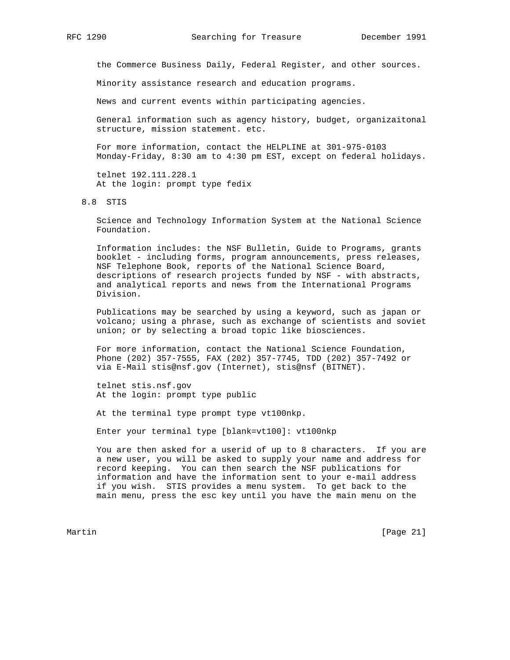the Commerce Business Daily, Federal Register, and other sources.

Minority assistance research and education programs.

News and current events within participating agencies.

 General information such as agency history, budget, organizaitonal structure, mission statement. etc.

 For more information, contact the HELPLINE at 301-975-0103 Monday-Friday, 8:30 am to 4:30 pm EST, except on federal holidays.

 telnet 192.111.228.1 At the login: prompt type fedix

8.8 STIS

 Science and Technology Information System at the National Science Foundation.

 Information includes: the NSF Bulletin, Guide to Programs, grants booklet - including forms, program announcements, press releases, NSF Telephone Book, reports of the National Science Board, descriptions of research projects funded by NSF - with abstracts, and analytical reports and news from the International Programs Division.

 Publications may be searched by using a keyword, such as japan or volcano; using a phrase, such as exchange of scientists and soviet union; or by selecting a broad topic like biosciences.

 For more information, contact the National Science Foundation, Phone (202) 357-7555, FAX (202) 357-7745, TDD (202) 357-7492 or via E-Mail stis@nsf.gov (Internet), stis@nsf (BITNET).

 telnet stis.nsf.gov At the login: prompt type public

At the terminal type prompt type vt100nkp.

Enter your terminal type [blank=vt100]: vt100nkp

 You are then asked for a userid of up to 8 characters. If you are a new user, you will be asked to supply your name and address for record keeping. You can then search the NSF publications for information and have the information sent to your e-mail address if you wish. STIS provides a menu system. To get back to the main menu, press the esc key until you have the main menu on the

Martin [Page 21]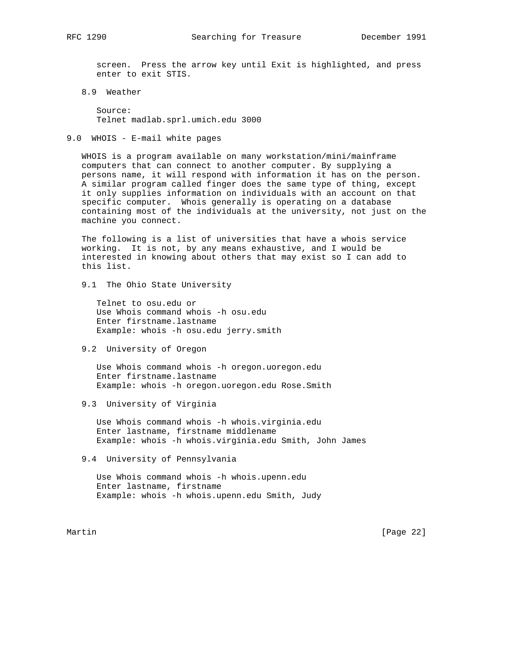screen. Press the arrow key until Exit is highlighted, and press enter to exit STIS.

8.9 Weather

 Source: Telnet madlab.sprl.umich.edu 3000

9.0 WHOIS - E-mail white pages

 WHOIS is a program available on many workstation/mini/mainframe computers that can connect to another computer. By supplying a persons name, it will respond with information it has on the person. A similar program called finger does the same type of thing, except it only supplies information on individuals with an account on that specific computer. Whois generally is operating on a database containing most of the individuals at the university, not just on the machine you connect.

 The following is a list of universities that have a whois service working. It is not, by any means exhaustive, and I would be interested in knowing about others that may exist so I can add to this list.

9.1 The Ohio State University

 Telnet to osu.edu or Use Whois command whois -h osu.edu Enter firstname.lastname Example: whois -h osu.edu jerry.smith

9.2 University of Oregon

 Use Whois command whois -h oregon.uoregon.edu Enter firstname.lastname Example: whois -h oregon.uoregon.edu Rose.Smith

9.3 University of Virginia

 Use Whois command whois -h whois.virginia.edu Enter lastname, firstname middlename Example: whois -h whois.virginia.edu Smith, John James

9.4 University of Pennsylvania

 Use Whois command whois -h whois.upenn.edu Enter lastname, firstname Example: whois -h whois.upenn.edu Smith, Judy

Martin [Page 22]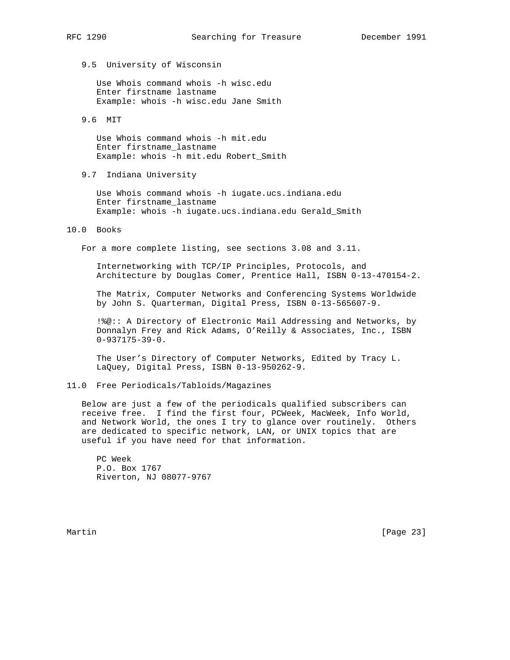9.5 University of Wisconsin

 Use Whois command whois -h wisc.edu Enter firstname lastname Example: whois -h wisc.edu Jane Smith

9.6 MIT

 Use Whois command whois -h mit.edu Enter firstname\_lastname Example: whois -h mit.edu Robert\_Smith

9.7 Indiana University

 Use Whois command whois -h iugate.ucs.indiana.edu Enter firstname\_lastname Example: whois -h iugate.ucs.indiana.edu Gerald\_Smith

# 10.0 Books

For a more complete listing, see sections 3.08 and 3.11.

 Internetworking with TCP/IP Principles, Protocols, and Architecture by Douglas Comer, Prentice Hall, ISBN 0-13-470154-2.

 The Matrix, Computer Networks and Conferencing Systems Worldwide by John S. Quarterman, Digital Press, ISBN 0-13-565607-9.

 !%@:: A Directory of Electronic Mail Addressing and Networks, by Donnalyn Frey and Rick Adams, O'Reilly & Associates, Inc., ISBN 0-937175-39-0.

 The User's Directory of Computer Networks, Edited by Tracy L. LaQuey, Digital Press, ISBN 0-13-950262-9.

11.0 Free Periodicals/Tabloids/Magazines

 Below are just a few of the periodicals qualified subscribers can receive free. I find the first four, PCWeek, MacWeek, Info World, and Network World, the ones I try to glance over routinely. Others are dedicated to specific network, LAN, or UNIX topics that are useful if you have need for that information.

 PC Week P.O. Box 1767 Riverton, NJ 08077-9767

Martin [Page 23]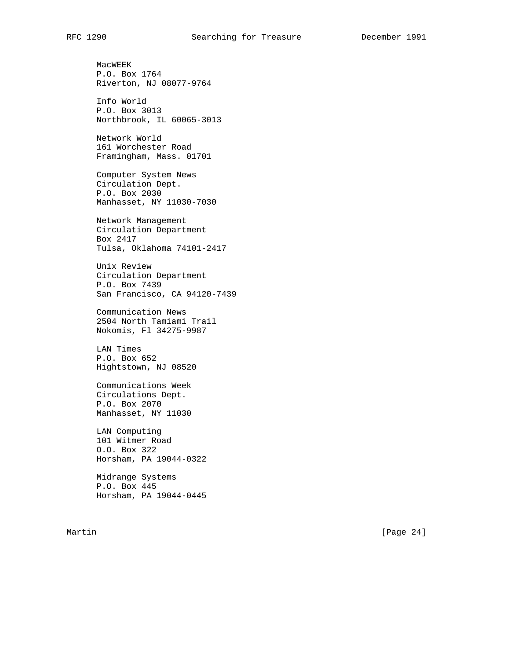MacWEEK P.O. Box 1764 Riverton, NJ 08077-9764 Info World P.O. Box 3013 Northbrook, IL 60065-3013 Network World 161 Worchester Road Framingham, Mass. 01701 Computer System News Circulation Dept. P.O. Box 2030 Manhasset, NY 11030-7030 Network Management Circulation Department Box 2417 Tulsa, Oklahoma 74101-2417 Unix Review Circulation Department P.O. Box 7439 San Francisco, CA 94120-7439 Communication News 2504 North Tamiami Trail Nokomis, Fl 34275-9987 LAN Times P.O. Box 652 Hightstown, NJ 08520 Communications Week Circulations Dept. P.O. Box 2070 Manhasset, NY 11030 LAN Computing 101 Witmer Road O.O. Box 322 Horsham, PA 19044-0322 Midrange Systems P.O. Box 445 Horsham, PA 19044-0445

Martin [Page 24]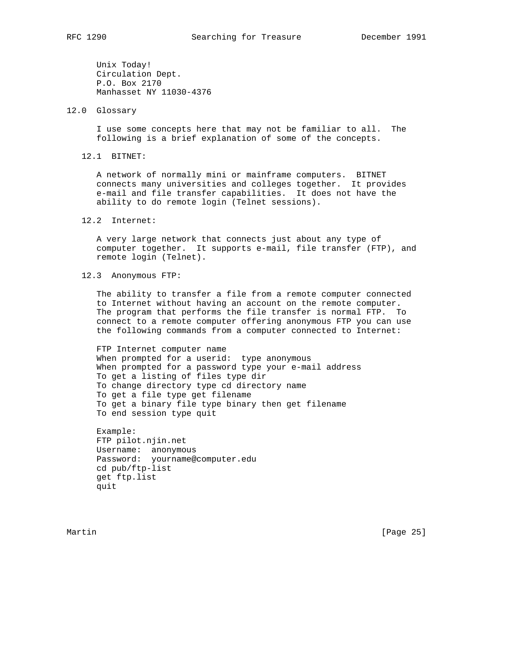Unix Today! Circulation Dept. P.O. Box 2170 Manhasset NY 11030-4376

12.0 Glossary

 I use some concepts here that may not be familiar to all. The following is a brief explanation of some of the concepts.

12.1 BITNET:

 A network of normally mini or mainframe computers. BITNET connects many universities and colleges together. It provides e-mail and file transfer capabilities. It does not have the ability to do remote login (Telnet sessions).

12.2 Internet:

 A very large network that connects just about any type of computer together. It supports e-mail, file transfer (FTP), and remote login (Telnet).

12.3 Anonymous FTP:

 The ability to transfer a file from a remote computer connected to Internet without having an account on the remote computer. The program that performs the file transfer is normal FTP. To connect to a remote computer offering anonymous FTP you can use the following commands from a computer connected to Internet:

 FTP Internet computer name When prompted for a userid: type anonymous When prompted for a password type your e-mail address To get a listing of files type dir To change directory type cd directory name To get a file type get filename To get a binary file type binary then get filename To end session type quit

 Example: FTP pilot.njin.net Username: anonymous Password: yourname@computer.edu cd pub/ftp-list get ftp.list quit

Martin [Page 25]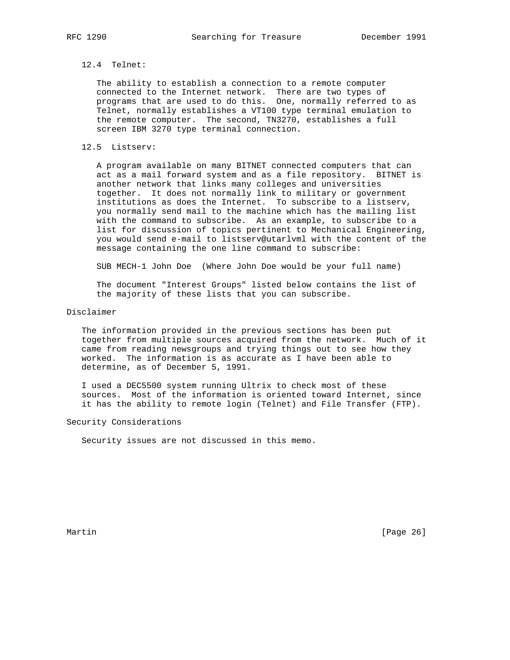# 12.4 Telnet:

 The ability to establish a connection to a remote computer connected to the Internet network. There are two types of programs that are used to do this. One, normally referred to as Telnet, normally establishes a VT100 type terminal emulation to the remote computer. The second, TN3270, establishes a full screen IBM 3270 type terminal connection.

## 12.5 Listserv:

 A program available on many BITNET connected computers that can act as a mail forward system and as a file repository. BITNET is another network that links many colleges and universities together. It does not normally link to military or government institutions as does the Internet. To subscribe to a listserv, you normally send mail to the machine which has the mailing list with the command to subscribe. As an example, to subscribe to a list for discussion of topics pertinent to Mechanical Engineering, you would send e-mail to listserv@utarlvml with the content of the message containing the one line command to subscribe:

SUB MECH-1 John Doe (Where John Doe would be your full name)

 The document "Interest Groups" listed below contains the list of the majority of these lists that you can subscribe.

## Disclaimer

 The information provided in the previous sections has been put together from multiple sources acquired from the network. Much of it came from reading newsgroups and trying things out to see how they worked. The information is as accurate as I have been able to determine, as of December 5, 1991.

 I used a DEC5500 system running Ultrix to check most of these sources. Most of the information is oriented toward Internet, since it has the ability to remote login (Telnet) and File Transfer (FTP).

## Security Considerations

Security issues are not discussed in this memo.